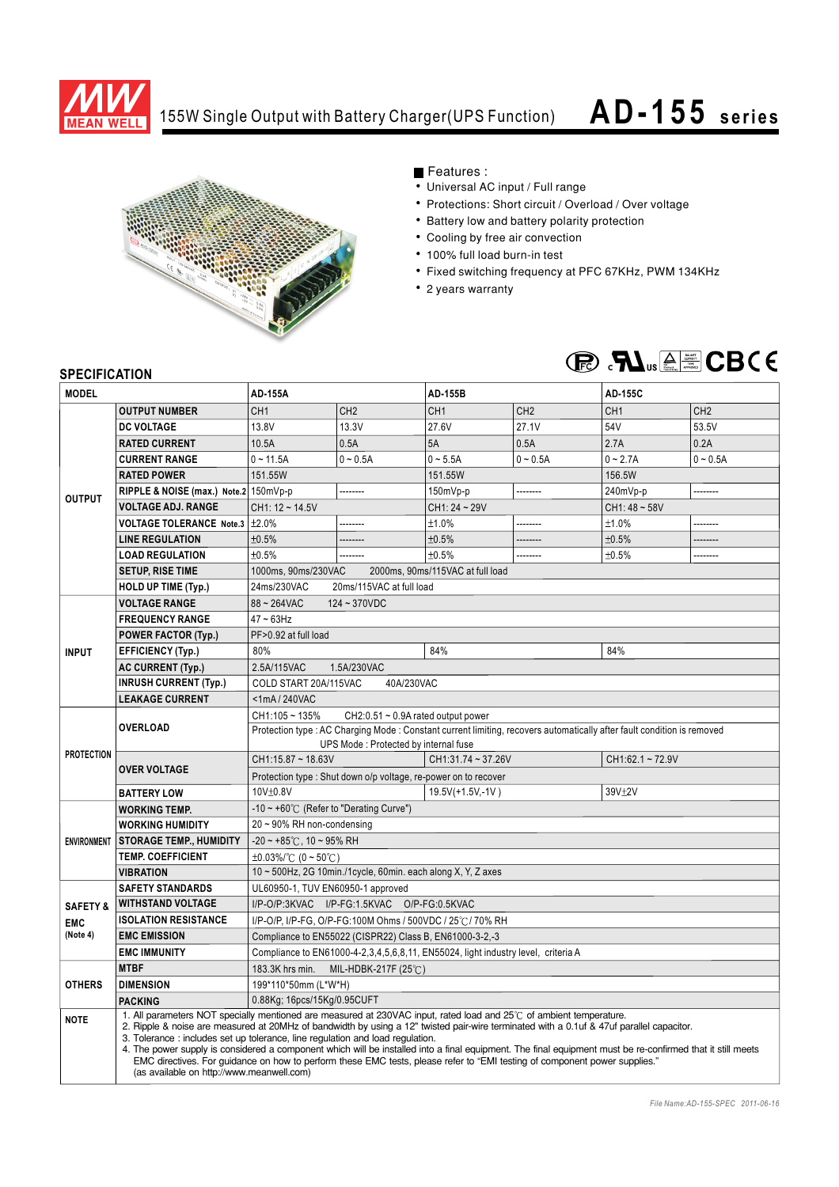

## 155W Single Output with Battery Charger(UPS Function)

## **AD- 155 series**



Features :

- Universal AC input / Full range
- Protections: Short circuit / Overload / Over voltage
- Battery low and battery polarity protection
- Cooling by free air convection
- 100% full load burn-in test
- Fixed switching frequency at PFC 67KHz, PWM 134KHz
- 2 years warranty



## **SPECIFICATION**

| <b>MODEL</b>        |                                                                                                                                                                                                                                                                                                                                                                                                                                                                                                                                                                                                                                                                                           | <b>AD-155A</b>                                                                                                                                                  |                 | <b>AD-155B</b>                   |                 | <b>AD-155C</b>  |                 |
|---------------------|-------------------------------------------------------------------------------------------------------------------------------------------------------------------------------------------------------------------------------------------------------------------------------------------------------------------------------------------------------------------------------------------------------------------------------------------------------------------------------------------------------------------------------------------------------------------------------------------------------------------------------------------------------------------------------------------|-----------------------------------------------------------------------------------------------------------------------------------------------------------------|-----------------|----------------------------------|-----------------|-----------------|-----------------|
|                     | <b>OUTPUT NUMBER</b>                                                                                                                                                                                                                                                                                                                                                                                                                                                                                                                                                                                                                                                                      | CH <sub>1</sub>                                                                                                                                                 | CH <sub>2</sub> | CH <sub>1</sub>                  | CH <sub>2</sub> | CH <sub>1</sub> | CH <sub>2</sub> |
| <b>OUTPUT</b>       | <b>DC VOLTAGE</b>                                                                                                                                                                                                                                                                                                                                                                                                                                                                                                                                                                                                                                                                         | 13.8V                                                                                                                                                           | 13.3V           | 27.6V                            | 27.1V           | 54V             | 53.5V           |
|                     | <b>RATED CURRENT</b>                                                                                                                                                                                                                                                                                                                                                                                                                                                                                                                                                                                                                                                                      | 10.5A                                                                                                                                                           | 0.5A            | 5A                               | 0.5A            | 2.7A            | 0.2A            |
|                     | <b>CURRENT RANGE</b>                                                                                                                                                                                                                                                                                                                                                                                                                                                                                                                                                                                                                                                                      | $0 - 11.5A$                                                                                                                                                     | $0 - 0.5A$      | $0 - 5.5A$                       | $0 - 0.5A$      | $0 - 2.7A$      | $0 - 0.5A$      |
|                     | <b>RATED POWER</b>                                                                                                                                                                                                                                                                                                                                                                                                                                                                                                                                                                                                                                                                        | 151.55W                                                                                                                                                         |                 | 151.55W                          |                 | 156.5W          |                 |
|                     | RIPPLE & NOISE (max.) Note.2 150mVp-p                                                                                                                                                                                                                                                                                                                                                                                                                                                                                                                                                                                                                                                     | --------                                                                                                                                                        |                 | 150mVp-p<br>--------             |                 | 240mVp-p<br>.   |                 |
|                     | <b>VOLTAGE ADJ. RANGE</b>                                                                                                                                                                                                                                                                                                                                                                                                                                                                                                                                                                                                                                                                 | CH1: 12~14.5V                                                                                                                                                   |                 | CH1: 24~29V                      |                 | $CH1:48 - 58V$  |                 |
|                     | <b>VOLTAGE TOLERANCE Note.3</b>                                                                                                                                                                                                                                                                                                                                                                                                                                                                                                                                                                                                                                                           | ±2.0%                                                                                                                                                           |                 | ±1.0%                            | --------        | ±1.0%           | --------        |
|                     | <b>LINE REGULATION</b>                                                                                                                                                                                                                                                                                                                                                                                                                                                                                                                                                                                                                                                                    | ±0.5%                                                                                                                                                           |                 | ±0.5%                            | --------        | ±0.5%           |                 |
|                     | <b>LOAD REGULATION</b>                                                                                                                                                                                                                                                                                                                                                                                                                                                                                                                                                                                                                                                                    | ±0.5%                                                                                                                                                           |                 | ±0.5%                            | .               | ±0.5%           | --------        |
|                     | <b>SETUP, RISE TIME</b>                                                                                                                                                                                                                                                                                                                                                                                                                                                                                                                                                                                                                                                                   | 1000ms, 90ms/230VAC                                                                                                                                             |                 | 2000ms, 90ms/115VAC at full load |                 |                 |                 |
|                     | <b>HOLD UP TIME (Typ.)</b>                                                                                                                                                                                                                                                                                                                                                                                                                                                                                                                                                                                                                                                                | 24ms/230VAC<br>20ms/115VAC at full load                                                                                                                         |                 |                                  |                 |                 |                 |
|                     | <b>VOLTAGE RANGE</b>                                                                                                                                                                                                                                                                                                                                                                                                                                                                                                                                                                                                                                                                      | 88~264VAC<br>$124 - 370$ VDC                                                                                                                                    |                 |                                  |                 |                 |                 |
| <b>INPUT</b>        | <b>FREQUENCY RANGE</b>                                                                                                                                                                                                                                                                                                                                                                                                                                                                                                                                                                                                                                                                    | $47 \sim 63$ Hz                                                                                                                                                 |                 |                                  |                 |                 |                 |
|                     | <b>POWER FACTOR (Typ.)</b>                                                                                                                                                                                                                                                                                                                                                                                                                                                                                                                                                                                                                                                                | PF>0.92 at full load                                                                                                                                            |                 |                                  |                 |                 |                 |
|                     | <b>EFFICIENCY (Typ.)</b>                                                                                                                                                                                                                                                                                                                                                                                                                                                                                                                                                                                                                                                                  | 80%                                                                                                                                                             |                 | 84%                              |                 | 84%             |                 |
|                     | <b>AC CURRENT (Typ.)</b>                                                                                                                                                                                                                                                                                                                                                                                                                                                                                                                                                                                                                                                                  | 2.5A/115VAC<br>1.5A/230VAC                                                                                                                                      |                 |                                  |                 |                 |                 |
|                     | <b>INRUSH CURRENT (Typ.)</b>                                                                                                                                                                                                                                                                                                                                                                                                                                                                                                                                                                                                                                                              | COLD START 20A/115VAC<br>40A/230VAC                                                                                                                             |                 |                                  |                 |                 |                 |
|                     | <b>LEAKAGE CURRENT</b>                                                                                                                                                                                                                                                                                                                                                                                                                                                                                                                                                                                                                                                                    | <1mA/240VAC                                                                                                                                                     |                 |                                  |                 |                 |                 |
| <b>PROTECTION</b>   | <b>OVERLOAD</b>                                                                                                                                                                                                                                                                                                                                                                                                                                                                                                                                                                                                                                                                           | CH1:105~135%<br>CH2:0.51 ~ 0.9A rated output power                                                                                                              |                 |                                  |                 |                 |                 |
|                     |                                                                                                                                                                                                                                                                                                                                                                                                                                                                                                                                                                                                                                                                                           | Protection type : AC Charging Mode : Constant current limiting, recovers automatically after fault condition is removed<br>UPS Mode: Protected by internal fuse |                 |                                  |                 |                 |                 |
|                     | <b>OVER VOLTAGE</b>                                                                                                                                                                                                                                                                                                                                                                                                                                                                                                                                                                                                                                                                       | $CH1:15.87 \sim 18.63V$                                                                                                                                         |                 | CH1:31.74~37.26V                 |                 | CH1:62.1~72.9V  |                 |
|                     |                                                                                                                                                                                                                                                                                                                                                                                                                                                                                                                                                                                                                                                                                           | Protection type : Shut down o/p voltage, re-power on to recover                                                                                                 |                 |                                  |                 |                 |                 |
|                     | <b>BATTERY LOW</b>                                                                                                                                                                                                                                                                                                                                                                                                                                                                                                                                                                                                                                                                        | 10V±0.8V<br>39V±2V<br>19.5V(+1.5V,-1V)                                                                                                                          |                 |                                  |                 |                 |                 |
| <b>ENVIRONMENT</b>  | <b>WORKING TEMP.</b>                                                                                                                                                                                                                                                                                                                                                                                                                                                                                                                                                                                                                                                                      | -10 ~ +60 $\degree$ C (Refer to "Derating Curve")                                                                                                               |                 |                                  |                 |                 |                 |
|                     | <b>WORKING HUMIDITY</b>                                                                                                                                                                                                                                                                                                                                                                                                                                                                                                                                                                                                                                                                   | 20 ~ 90% RH non-condensing                                                                                                                                      |                 |                                  |                 |                 |                 |
|                     | <b>STORAGE TEMP., HUMIDITY</b>                                                                                                                                                                                                                                                                                                                                                                                                                                                                                                                                                                                                                                                            | $-20 \sim +85^{\circ}$ C, 10 ~ 95% RH                                                                                                                           |                 |                                  |                 |                 |                 |
|                     | <b>TEMP. COEFFICIENT</b>                                                                                                                                                                                                                                                                                                                                                                                                                                                                                                                                                                                                                                                                  | $\pm 0.03\%$ /°C (0 ~ 50°C)                                                                                                                                     |                 |                                  |                 |                 |                 |
|                     | <b>VIBRATION</b>                                                                                                                                                                                                                                                                                                                                                                                                                                                                                                                                                                                                                                                                          | 10 ~ 500Hz, 2G 10min./1cycle, 60min. each along X, Y, Z axes                                                                                                    |                 |                                  |                 |                 |                 |
|                     | <b>SAFETY STANDARDS</b>                                                                                                                                                                                                                                                                                                                                                                                                                                                                                                                                                                                                                                                                   | UL60950-1, TUV EN60950-1 approved                                                                                                                               |                 |                                  |                 |                 |                 |
| <b>SAFETY &amp;</b> | <b>WITHSTAND VOLTAGE</b>                                                                                                                                                                                                                                                                                                                                                                                                                                                                                                                                                                                                                                                                  | I/P-O/P:3KVAC I/P-FG:1.5KVAC O/P-FG:0.5KVAC                                                                                                                     |                 |                                  |                 |                 |                 |
| <b>EMC</b>          | <b>ISOLATION RESISTANCE</b>                                                                                                                                                                                                                                                                                                                                                                                                                                                                                                                                                                                                                                                               | I/P-O/P, I/P-FG, O/P-FG:100M Ohms / 500VDC / 25℃/ 70% RH                                                                                                        |                 |                                  |                 |                 |                 |
| (Note 4)            | <b>EMC EMISSION</b>                                                                                                                                                                                                                                                                                                                                                                                                                                                                                                                                                                                                                                                                       | Compliance to EN55022 (CISPR22) Class B, EN61000-3-2,-3                                                                                                         |                 |                                  |                 |                 |                 |
|                     | <b>EMC IMMUNITY</b>                                                                                                                                                                                                                                                                                                                                                                                                                                                                                                                                                                                                                                                                       | Compliance to EN61000-4-2,3,4,5,6,8,11, EN55024, light industry level, criteria A                                                                               |                 |                                  |                 |                 |                 |
| <b>OTHERS</b>       | <b>MTBF</b>                                                                                                                                                                                                                                                                                                                                                                                                                                                                                                                                                                                                                                                                               | 183.3K hrs min.<br>MIL-HDBK-217F (25 $°C$ )                                                                                                                     |                 |                                  |                 |                 |                 |
|                     | <b>DIMENSION</b>                                                                                                                                                                                                                                                                                                                                                                                                                                                                                                                                                                                                                                                                          | 199*110*50mm (L*W*H)                                                                                                                                            |                 |                                  |                 |                 |                 |
|                     | <b>PACKING</b>                                                                                                                                                                                                                                                                                                                                                                                                                                                                                                                                                                                                                                                                            | 0.88Kg; 16pcs/15Kg/0.95CUFT                                                                                                                                     |                 |                                  |                 |                 |                 |
| <b>NOTE</b>         | 1. All parameters NOT specially mentioned are measured at 230VAC input, rated load and 25°C of ambient temperature.<br>2. Ripple & noise are measured at 20MHz of bandwidth by using a 12" twisted pair-wire terminated with a 0.1uf & 47uf parallel capacitor.<br>3. Tolerance: includes set up tolerance, line regulation and load regulation.<br>4. The power supply is considered a component which will be installed into a final equipment. The final equipment must be re-confirmed that it still meets<br>EMC directives. For quidance on how to perform these EMC tests, please refer to "EMI testing of component power supplies."<br>(as available on http://www.meanwell.com) |                                                                                                                                                                 |                 |                                  |                 |                 |                 |